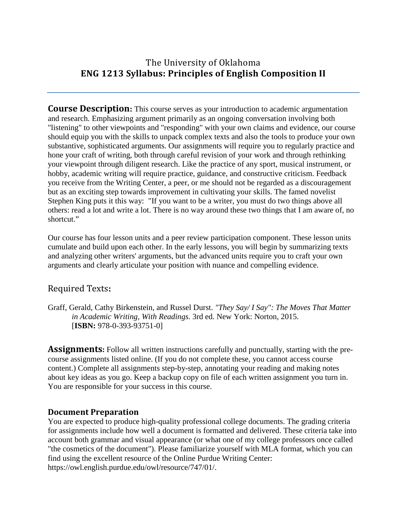# The University of Oklahoma **ENG 1213 Syllabus: Principles of English Composition II**

**Course Description:** This course serves as your introduction to academic argumentation and research. Emphasizing argument primarily as an ongoing conversation involving both "listening" to other viewpoints and "responding" with your own claims and evidence, our course should equip you with the skills to unpack complex texts and also the tools to produce your own substantive, sophisticated arguments. Our assignments will require you to regularly practice and hone your craft of writing, both through careful revision of your work and through rethinking your viewpoint through diligent research. Like the practice of any sport, musical instrument, or hobby, academic writing will require practice, guidance, and constructive criticism. Feedback you receive from the Writing Center, a peer, or me should not be regarded as a discouragement but as an exciting step towards improvement in cultivating your skills. The famed novelist Stephen King puts it this way: "If you want to be a writer, you must do two things above all others: read a lot and write a lot. There is no way around these two things that I am aware of, no shortcut."

Our course has four lesson units and a peer review participation component. These lesson units cumulate and build upon each other. In the early lessons, you will begin by summarizing texts and analyzing other writers' arguments, but the advanced units require you to craft your own arguments and clearly articulate your position with nuance and compelling evidence.

## Required Texts**:**

Graff, Gerald, Cathy Birkenstein, and Russel Durst. *"They Say/ I Say": The Moves That Matter in Academic Writing, With Readings.* 3rd ed. New York: Norton, 2015. [**ISBN:** 978-0-393-93751-0]

**Assignments:** Follow all written instructions carefully and punctually, starting with the precourse assignments listed online. (If you do not complete these, you cannot access course content.) Complete all assignments step-by-step, annotating your reading and making notes about key ideas as you go. Keep a backup copy on file of each written assignment you turn in. You are responsible for your success in this course.

## **Document Preparation**

You are expected to produce high-quality professional college documents. The grading criteria for assignments include how well a document is formatted and delivered. These criteria take into account both grammar and visual appearance (or what one of my college professors once called "the cosmetics of the document"). Please familiarize yourself with MLA format, which you can find using the excellent resource of the Online Purdue Writing Center: https://owl.english.purdue.edu/owl/resource/747/01/.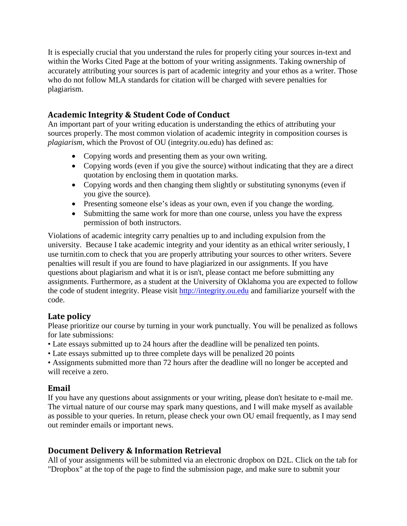It is especially crucial that you understand the rules for properly citing your sources in-text and within the Works Cited Page at the bottom of your writing assignments. Taking ownership of accurately attributing your sources is part of academic integrity and your ethos as a writer. Those who do not follow MLA standards for citation will be charged with severe penalties for plagiarism.

## **Academic Integrity & Student Code of Conduct**

An important part of your writing education is understanding the ethics of attributing your sources properly. The most common violation of academic integrity in composition courses is *plagiarism*, which the Provost of OU (integrity.ou.edu) has defined as:

- Copying words and presenting them as your own writing.
- Copying words (even if you give the source) without indicating that they are a direct quotation by enclosing them in quotation marks.
- Copying words and then changing them slightly or substituting synonyms (even if you give the source).
- Presenting someone else's ideas as your own, even if you change the wording.
- Submitting the same work for more than one course, unless you have the express permission of both instructors.

Violations of academic integrity carry penalties up to and including expulsion from the university. Because I take academic integrity and your identity as an ethical writer seriously, I use turnitin.com to check that you are properly attributing your sources to other writers. Severe penalties will result if you are found to have plagiarized in our assignments. If you have questions about plagiarism and what it is or isn't, please contact me before submitting any assignments. Furthermore, as a student at the University of Oklahoma you are expected to follow the code of student integrity. Please visit [http://integrity.ou.edu](http://integrity.ou.edu/) and familiarize yourself with the code.

## **Late policy**

Please prioritize our course by turning in your work punctually. You will be penalized as follows for late submissions:

- Late essays submitted up to 24 hours after the deadline will be penalized ten points.
- Late essays submitted up to three complete days will be penalized 20 points

• Assignments submitted more than 72 hours after the deadline will no longer be accepted and will receive a zero.

# **Email**

If you have any questions about assignments or your writing, please don't hesitate to e-mail me. The virtual nature of our course may spark many questions, and I will make myself as available as possible to your queries. In return, please check your own OU email frequently, as I may send out reminder emails or important news.

# **Document Delivery & Information Retrieval**

All of your assignments will be submitted via an electronic dropbox on D2L. Click on the tab for "Dropbox" at the top of the page to find the submission page, and make sure to submit your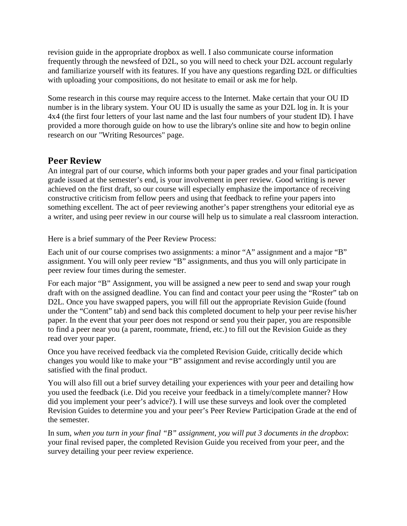revision guide in the appropriate dropbox as well. I also communicate course information frequently through the newsfeed of D2L, so you will need to check your D2L account regularly and familiarize yourself with its features. If you have any questions regarding D2L or difficulties with uploading your compositions, do not hesitate to email or ask me for help.

Some research in this course may require access to the Internet. Make certain that your OU ID number is in the library system. Your OU ID is usually the same as your D2L log in. It is your 4x4 (the first four letters of your last name and the last four numbers of your student ID). I have provided a more thorough guide on how to use the library's online site and how to begin online research on our "Writing Resources" page.

### **Peer Review**

An integral part of our course, which informs both your paper grades and your final participation grade issued at the semester's end, is your involvement in peer review. Good writing is never achieved on the first draft, so our course will especially emphasize the importance of receiving constructive criticism from fellow peers and using that feedback to refine your papers into something excellent. The act of peer reviewing another's paper strengthens your editorial eye as a writer, and using peer review in our course will help us to simulate a real classroom interaction.

Here is a brief summary of the Peer Review Process:

Each unit of our course comprises two assignments: a minor "A" assignment and a major "B" assignment. You will only peer review "B" assignments, and thus you will only participate in peer review four times during the semester.

For each major "B" Assignment, you will be assigned a new peer to send and swap your rough draft with on the assigned deadline. You can find and contact your peer using the "Roster" tab on D2L. Once you have swapped papers, you will fill out the appropriate Revision Guide (found under the "Content" tab) and send back this completed document to help your peer revise his/her paper. In the event that your peer does not respond or send you their paper, you are responsible to find a peer near you (a parent, roommate, friend, etc.) to fill out the Revision Guide as they read over your paper.

Once you have received feedback via the completed Revision Guide, critically decide which changes you would like to make your "B" assignment and revise accordingly until you are satisfied with the final product.

You will also fill out a brief survey detailing your experiences with your peer and detailing how you used the feedback (i.e. Did you receive your feedback in a timely/complete manner? How did you implement your peer's advice?). I will use these surveys and look over the completed Revision Guides to determine you and your peer's Peer Review Participation Grade at the end of the semester.

In sum, *when you turn in your final "B" assignment, you will put 3 documents in the dropbox*: your final revised paper, the completed Revision Guide you received from your peer, and the survey detailing your peer review experience.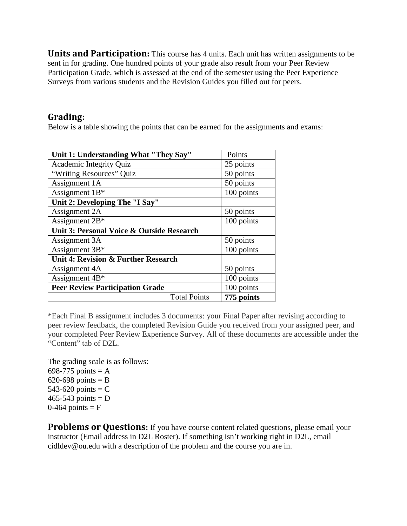**Units and Participation:** This course has 4 units. Each unit has written assignments to be sent in for grading. One hundred points of your grade also result from your Peer Review Participation Grade, which is assessed at the end of the semester using the Peer Experience Surveys from various students and the Revision Guides you filled out for peers.

#### **Grading:**

Below is a table showing the points that can be earned for the assignments and exams:

| Unit 1: Understanding What "They Say"     | Points     |
|-------------------------------------------|------------|
| Academic Integrity Quiz                   | 25 points  |
| "Writing Resources" Quiz                  | 50 points  |
| Assignment 1A                             | 50 points  |
| Assignment $1B^*$                         | 100 points |
| Unit 2: Developing The "I Say"            |            |
| Assignment 2A                             | 50 points  |
| Assignment 2B*                            | 100 points |
| Unit 3: Personal Voice & Outside Research |            |
| Assignment 3A                             | 50 points  |
| Assignment 3B*                            | 100 points |
| Unit 4: Revision & Further Research       |            |
| Assignment 4A                             | 50 points  |
| Assignment 4B*                            | 100 points |
| <b>Peer Review Participation Grade</b>    | 100 points |
| <b>Total Points</b>                       | 775 points |

\*Each Final B assignment includes 3 documents: your Final Paper after revising according to peer review feedback, the completed Revision Guide you received from your assigned peer, and your completed Peer Review Experience Survey. All of these documents are accessible under the "Content" tab of D2L.

The grading scale is as follows: 698-775 points  $= A$ 620-698 points  $= B$ 543-620 points  $=$  C  $465-543$  points = D  $0-464$  points = F

**Problems or Questions:** If you have course content related questions, please email your instructor (Email address in D2L Roster). If something isn't working right in D2L, email cidldev@ou.edu with a description of the problem and the course you are in.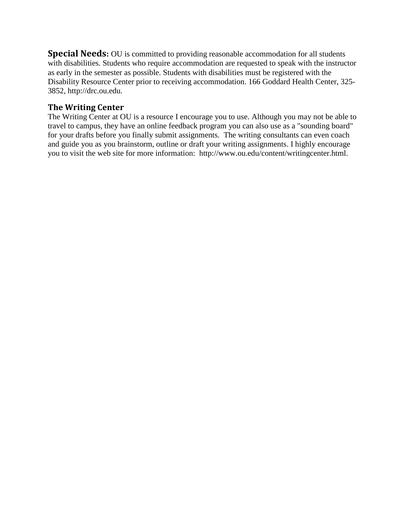**Special Needs:** OU is committed to providing reasonable accommodation for all students with disabilities. Students who require accommodation are requested to speak with the instructor as early in the semester as possible. Students with disabilities must be registered with the Disability Resource Center prior to receiving accommodation. 166 Goddard Health Center, 325- 3852, http://drc.ou.edu.

#### **The Writing Center**

The Writing Center at OU is a resource I encourage you to use. Although you may not be able to travel to campus, they have an online feedback program you can also use as a "sounding board" for your drafts before you finally submit assignments. The writing consultants can even coach and guide you as you brainstorm, outline or draft your writing assignments. I highly encourage you to visit the web site for more information: [http://www.ou.edu/content/writingcenter.html.](https://exchange.ou.edu/owa/twood@ou.edu/redir.aspx?C=c1b4736e25db44b9bd7b537c7541b475&URL=http%3a%2f%2fwrite.ou.edu)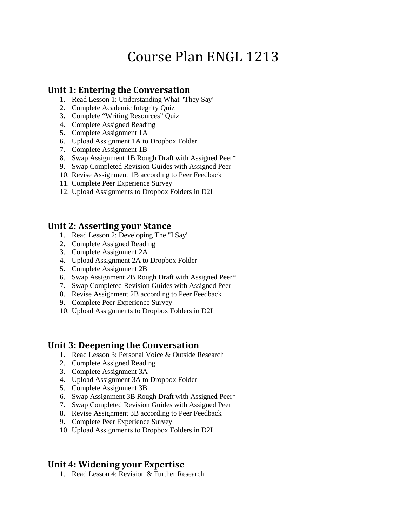# Course Plan ENGL 1213

#### **Unit 1: Entering the Conversation**

- 1. Read Lesson 1: Understanding What "They Say"
- 2. Complete Academic Integrity Quiz
- 3. Complete "Writing Resources" Quiz
- 4. Complete Assigned Reading
- 5. Complete Assignment 1A
- 6. Upload Assignment 1A to Dropbox Folder
- 7. Complete Assignment 1B
- 8. Swap Assignment 1B Rough Draft with Assigned Peer\*
- 9. Swap Completed Revision Guides with Assigned Peer
- 10. Revise Assignment 1B according to Peer Feedback
- 11. Complete Peer Experience Survey
- 12. Upload Assignments to Dropbox Folders in D2L

#### **Unit 2: Asserting your Stance**

- 1. Read Lesson 2: Developing The "I Say"
- 2. Complete Assigned Reading
- 3. Complete Assignment 2A
- 4. Upload Assignment 2A to Dropbox Folder
- 5. Complete Assignment 2B
- 6. Swap Assignment 2B Rough Draft with Assigned Peer\*
- 7. Swap Completed Revision Guides with Assigned Peer
- 8. Revise Assignment 2B according to Peer Feedback
- 9. Complete Peer Experience Survey
- 10. Upload Assignments to Dropbox Folders in D2L

#### **Unit 3: Deepening the Conversation**

- 1. Read Lesson 3: Personal Voice & Outside Research
- 2. Complete Assigned Reading
- 3. Complete Assignment 3A
- 4. Upload Assignment 3A to Dropbox Folder
- 5. Complete Assignment 3B
- 6. Swap Assignment 3B Rough Draft with Assigned Peer\*
- 7. Swap Completed Revision Guides with Assigned Peer
- 8. Revise Assignment 3B according to Peer Feedback
- 9. Complete Peer Experience Survey
- 10. Upload Assignments to Dropbox Folders in D2L

## **Unit 4: Widening your Expertise**

1. Read Lesson 4: Revision & Further Research